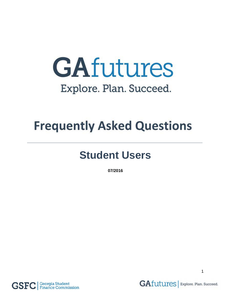# GAfutures Explore. Plan. Succeed.

## **Frequently Asked Questions**

## **Student Users**

**07/2016**



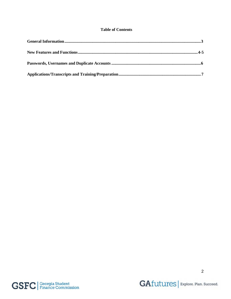#### **Table of Contents**



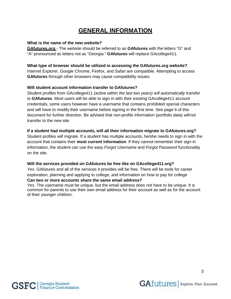## **GENERAL INFORMATION**

#### <span id="page-2-0"></span>**What is the name of the new website?**

**GAfutures.org** - The website should be referred to as **GAfutures** with the letters "G" and "A" pronounced as letters not as "Georgia." **GAfutures** will replace GAcollege411.

#### **What type of browser should be utilized in accessing the GAfutures.org website?**

Internet Explorer, Google Chrome, Firefox, and Safari are compatible. Attempting to access **GAfutures** through other browsers may cause compatibility issues.

#### **Will student account information transfer to GAfutures?**

*Student profiles* from GAcollege411 *(active within the last two years) will automatically* transfer to **GAfutures**. Most users will be able to sign in with their *existing* GAcollege411 account credentials, some users however have a username that contains prohibited special characters and will have to modify their username before signing in the first time. See page 6 of this document for further direction. Be advised that non-profile information (portfolio data) willnot transfer to the new site.

#### **If a student had multiple accounts, will all their information migrate to GAfutures.org?**

Student profiles *will* migrate. If a student has multiple accounts, he/she needs to sign in with the account that contains their **most current information**. If they cannot remember their sign in information, the student can use the easy *Forgot Username* and *Forgot Password* functionality on the site.

#### **Will the services provided on GAfutures be free like on GAcollege411.org?**

*Yes*. GAfutures and all of the services it provides will be free. There will be tools for career exploration, planning and applying to college, and information on how to pay for college

#### **Can two or more accounts share the same email address?**

*Yes.* The username must be unique, but the email address does not have to be unique. It is common for parents to use their own email address for their account as well as for the account of their younger children.

.

3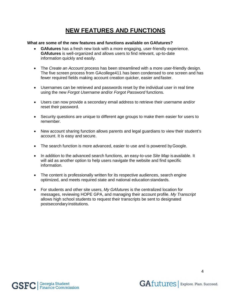## **NEW FEATURES AND FUNCTIONS**

#### <span id="page-3-0"></span>**What are some of the new features and functions available on GAfutures?**

- **GAfutures** has a fresh new look with a more engaging, user-friendly experience. **GAfutures** is well-organized and allows users to find relevant, up-to-date information quickly and easily.
- The *Create an Account* process has been streamlined with a more user-friendly design. The five screen process from GAcollege411 has been condensed to one screen and has fewer required fields making account creation quicker, easier and faster.
- Usernames can be retrieved and passwords reset by the individual user in real time using the new *Forgot Username* and/or *Forgot Password* functions.
- Users can now provide a secondary email address to retrieve their username and/or reset their password.
- Security questions are unique to different age groups to make them easier for users to remember.
- New account sharing function allows parents and legal guardians to view their student's account. It is easy and secure.
- The search function is more advanced, easier to use and is powered by Google.
- In addition to the advanced search functions, an easy-to-use *Site Map* is available. It will aid as another option to help users navigate the website and find specific information.
- The content is professionally written for its respective audiences, search engine optimized, and meets required state and national education standards.
- For students and other site users, *My GAfutures* is the centralized location for messages, reviewing HOPE GPA, and managing their account profile. *My Transcript* allows high school students to request their transcripts be sent to designated postsecondary institutions.

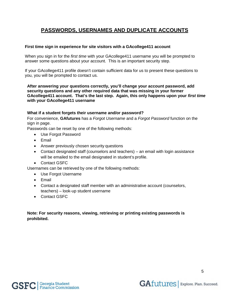### <span id="page-4-0"></span>**PASSWORDS, USERNAMES AND DUPLICATE ACCOUNTS**

#### **First time sign in experience for site visitors with a GAcollege411 account**

When you sign in for the *first time* with your GAcollege411 username you will be prompted to answer some questions about your account. This is an important security step.

If your GAcollege411 profile doesn't contain sufficient data for us to present these questions to you, you will be prompted to contact us.

**After answering your questions correctly, you'll change your account password, add security questions and any other required data that was missing in your former GAcollege411 account. That's the last step. Again, this only happens upon your** *first time* **with your GAcollege411 username**

#### **What if a student forgets their username and/or password?**

For convenience, **GAfutures** has a *Forgot Username* and a *Forgot Password* function on the sign in page.

Passwords can be reset by one of the following methods:

- Use Forgot Password
- Email
- Answer previously chosen security questions
- Contact designated staff (counselors and teachers) an email with login assistance will be emailed to the email designated in student's profile.
- Contact GSFC

Usernames can be retrieved by one of the following methods:

- Use Forgot Username
- Email
- Contact a designated staff member with an administrative account (counselors, teachers) – look-up student username
- Contact GSFC

#### **Note: For security reasons, viewing, retrieving or printing existing passwords is prohibited.**

5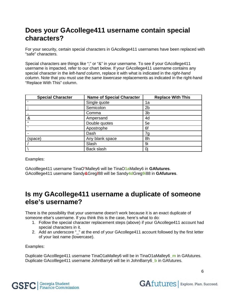## **Does your GAcollege411 username contain special characters?**

For your security, certain special characters in GAcollege411 usernames have been replaced with "safe" characters.

Special characters are things like ";" or "&" in your username. To see if your GAcollege411 username is impacted, refer to our chart below. If your GAcollege411 username contains any special character in the *left-hand column*, replace it with what is indicated in the *right-hand column*. Note that you must use the *same lowercase* replacements as indicated in the right-hand "Replace With This" column.

| <b>Special Character</b> | <b>Name of Special Character</b> | <b>Replace With This</b> |
|--------------------------|----------------------------------|--------------------------|
|                          | Single quote                     | 1a                       |
|                          | Semicolon                        | 2 <sub>b</sub>           |
|                          | Comma                            | 3 <sub>b</sub>           |
| &                        | Ampersand                        | 4d                       |
| $\epsilon$               | Double quotes                    | 5e                       |
|                          | Apostrophe                       | 6f                       |
|                          | Dash                             | 7g                       |
| (space)                  | Any blank space                  | 8h                       |
|                          | Slash                            | 9i                       |
|                          | Back slash                       | 0i                       |

Examples:

GAcolllege411 username TinaO**'**Malley6 will be TinaO**1a**Malley6 in **GAfutures**. GAcolllege411 username Sandy**&**Greg**/**88 will be Sandy**4d**Greg**9i**88 in **GAfutures**.

## **Is my GAcollege411 username a duplicate of someone else's username?**

There is the possibility that your username doesn't work because it is an exact duplicate of someone else's username. If you think this is the case, here's what to do:

- 1. Follow the special character replacement steps (above) if your GAcollege411 account had special characters in it.
- 2. Add an underscore "\_" at the end of your GAcollege411 account followed by the first letter of your last name (lowercase).

Examples:

Duplicate GAcolllege411 username TinaO1aMalley6 will be in TinaO1aMalley6**\_m** in GAfutures. Duplicate GAcolllege411 username JohnBarry6 will be in JohnBarry6**\_b** in GAfutures.



**GAfutures** | Explore. Plan. Succeed.